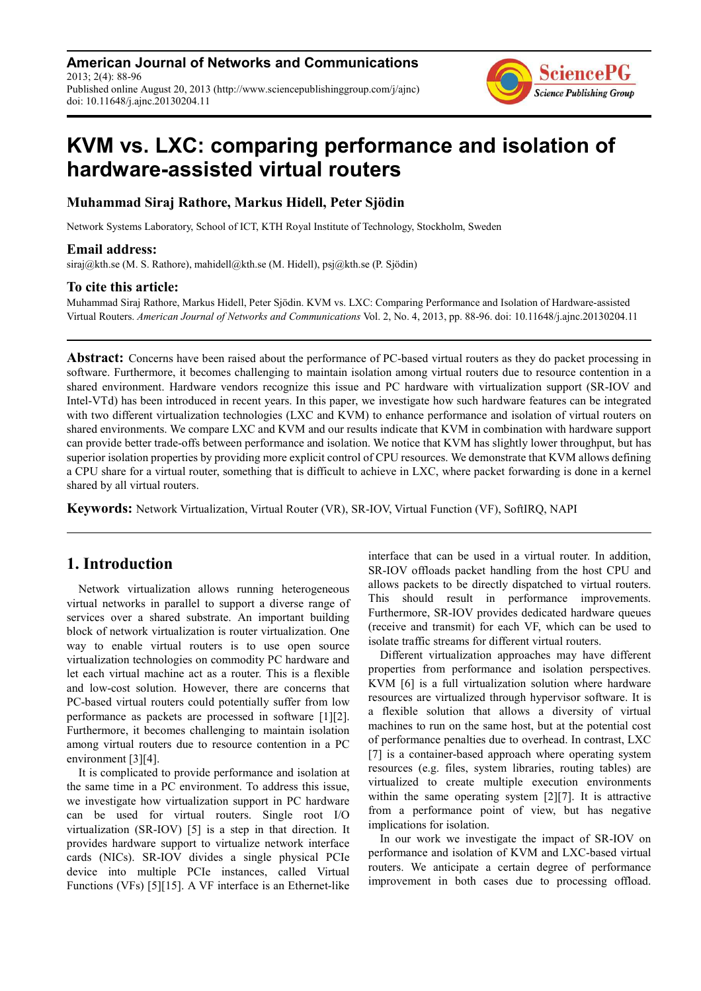**American Journal of Networks and Communications** 2013; 2(4): 88-96 Published online August 20, 2013 (http://www.sciencepublishinggroup.com/j/ajnc) doi: 10.11648/j.ajnc.20130204.11



# **KVM vs. LXC: comparing performance and isolation of hardware-assisted virtual routers**

**Muhammad Siraj Rathore, Markus Hidell, Peter Sjödin** 

Network Systems Laboratory, School of ICT, KTH Royal Institute of Technology, Stockholm, Sweden

#### **Email address:**

siraj@kth.se (M. S. Rathore), mahidell@kth.se (M. Hidell), psj@kth.se (P. Sjödin)

#### **To cite this article:**

Muhammad Siraj Rathore, Markus Hidell, Peter Sjödin. KVM vs. LXC: Comparing Performance and Isolation of Hardware-assisted Virtual Routers. *American Journal of Networks and Communications* Vol. 2, No. 4, 2013, pp. 88-96. doi: 10.11648/j.ajnc.20130204.11

**Abstract:** Concerns have been raised about the performance of PC-based virtual routers as they do packet processing in software. Furthermore, it becomes challenging to maintain isolation among virtual routers due to resource contention in a shared environment. Hardware vendors recognize this issue and PC hardware with virtualization support (SR-IOV and Intel-VTd) has been introduced in recent years. In this paper, we investigate how such hardware features can be integrated with two different virtualization technologies (LXC and KVM) to enhance performance and isolation of virtual routers on shared environments. We compare LXC and KVM and our results indicate that KVM in combination with hardware support can provide better trade-offs between performance and isolation. We notice that KVM has slightly lower throughput, but has superior isolation properties by providing more explicit control of CPU resources. We demonstrate that KVM allows defining a CPU share for a virtual router, something that is difficult to achieve in LXC, where packet forwarding is done in a kernel shared by all virtual routers.

**Keywords:** Network Virtualization, Virtual Router (VR), SR-IOV, Virtual Function (VF), SoftIRQ, NAPI

# **1. Introduction**

Network virtualization allows running heterogeneous virtual networks in parallel to support a diverse range of services over a shared substrate. An important building block of network virtualization is router virtualization. One way to enable virtual routers is to use open source virtualization technologies on commodity PC hardware and let each virtual machine act as a router. This is a flexible and low-cost solution. However, there are concerns that PC-based virtual routers could potentially suffer from low performance as packets are processed in software [1][2]. Furthermore, it becomes challenging to maintain isolation among virtual routers due to resource contention in a PC environment [3][4].

It is complicated to provide performance and isolation at the same time in a PC environment. To address this issue, we investigate how virtualization support in PC hardware can be used for virtual routers. Single root I/O virtualization (SR-IOV) [5] is a step in that direction. It provides hardware support to virtualize network interface cards (NICs). SR-IOV divides a single physical PCIe device into multiple PCIe instances, called Virtual Functions (VFs) [5][15]. A VF interface is an Ethernet-like interface that can be used in a virtual router. In addition, SR-IOV offloads packet handling from the host CPU and allows packets to be directly dispatched to virtual routers. This should result in performance improvements. Furthermore, SR-IOV provides dedicated hardware queues (receive and transmit) for each VF, which can be used to isolate traffic streams for different virtual routers.

Different virtualization approaches may have different properties from performance and isolation perspectives. KVM [6] is a full virtualization solution where hardware resources are virtualized through hypervisor software. It is a flexible solution that allows a diversity of virtual machines to run on the same host, but at the potential cost of performance penalties due to overhead. In contrast, LXC [7] is a container-based approach where operating system resources (e.g. files, system libraries, routing tables) are virtualized to create multiple execution environments within the same operating system [2][7]. It is attractive from a performance point of view, but has negative implications for isolation.

In our work we investigate the impact of SR-IOV on performance and isolation of KVM and LXC-based virtual routers. We anticipate a certain degree of performance improvement in both cases due to processing offload.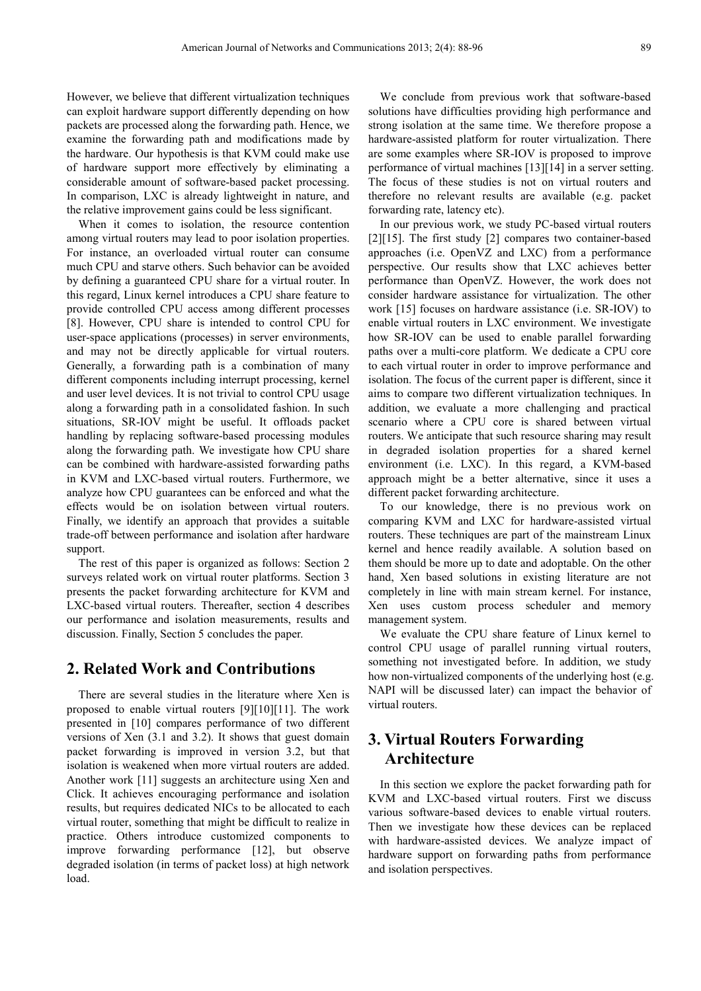However, we believe that different virtualization techniques can exploit hardware support differently depending on how packets are processed along the forwarding path. Hence, we examine the forwarding path and modifications made by the hardware. Our hypothesis is that KVM could make use of hardware support more effectively by eliminating a considerable amount of software-based packet processing. In comparison, LXC is already lightweight in nature, and the relative improvement gains could be less significant.

When it comes to isolation, the resource contention among virtual routers may lead to poor isolation properties. For instance, an overloaded virtual router can consume much CPU and starve others. Such behavior can be avoided by defining a guaranteed CPU share for a virtual router. In this regard, Linux kernel introduces a CPU share feature to provide controlled CPU access among different processes [8]. However, CPU share is intended to control CPU for user-space applications (processes) in server environments, and may not be directly applicable for virtual routers. Generally, a forwarding path is a combination of many different components including interrupt processing, kernel and user level devices. It is not trivial to control CPU usage along a forwarding path in a consolidated fashion. In such situations, SR-IOV might be useful. It offloads packet handling by replacing software-based processing modules along the forwarding path. We investigate how CPU share can be combined with hardware-assisted forwarding paths in KVM and LXC-based virtual routers. Furthermore, we analyze how CPU guarantees can be enforced and what the effects would be on isolation between virtual routers. Finally, we identify an approach that provides a suitable trade-off between performance and isolation after hardware support.

The rest of this paper is organized as follows: Section 2 surveys related work on virtual router platforms. Section 3 presents the packet forwarding architecture for KVM and LXC-based virtual routers. Thereafter, section 4 describes our performance and isolation measurements, results and discussion. Finally, Section 5 concludes the paper.

# **2. Related Work and Contributions**

There are several studies in the literature where Xen is proposed to enable virtual routers [9][10][11]. The work presented in [10] compares performance of two different versions of Xen (3.1 and 3.2). It shows that guest domain packet forwarding is improved in version 3.2, but that isolation is weakened when more virtual routers are added. Another work [11] suggests an architecture using Xen and Click. It achieves encouraging performance and isolation results, but requires dedicated NICs to be allocated to each virtual router, something that might be difficult to realize in practice. Others introduce customized components to improve forwarding performance [12], but observe degraded isolation (in terms of packet loss) at high network load.

We conclude from previous work that software-based solutions have difficulties providing high performance and strong isolation at the same time. We therefore propose a hardware-assisted platform for router virtualization. There are some examples where SR-IOV is proposed to improve performance of virtual machines [13][14] in a server setting. The focus of these studies is not on virtual routers and therefore no relevant results are available (e.g. packet forwarding rate, latency etc).

In our previous work, we study PC-based virtual routers [2][15]. The first study [2] compares two container-based approaches (i.e. OpenVZ and LXC) from a performance perspective. Our results show that LXC achieves better performance than OpenVZ. However, the work does not consider hardware assistance for virtualization. The other work [15] focuses on hardware assistance (i.e. SR-IOV) to enable virtual routers in LXC environment. We investigate how SR-IOV can be used to enable parallel forwarding paths over a multi-core platform. We dedicate a CPU core to each virtual router in order to improve performance and isolation. The focus of the current paper is different, since it aims to compare two different virtualization techniques. In addition, we evaluate a more challenging and practical scenario where a CPU core is shared between virtual routers. We anticipate that such resource sharing may result in degraded isolation properties for a shared kernel environment (i.e. LXC). In this regard, a KVM-based approach might be a better alternative, since it uses a different packet forwarding architecture.

To our knowledge, there is no previous work on comparing KVM and LXC for hardware-assisted virtual routers. These techniques are part of the mainstream Linux kernel and hence readily available. A solution based on them should be more up to date and adoptable. On the other hand, Xen based solutions in existing literature are not completely in line with main stream kernel. For instance, Xen uses custom process scheduler and memory management system.

We evaluate the CPU share feature of Linux kernel to control CPU usage of parallel running virtual routers, something not investigated before. In addition, we study how non-virtualized components of the underlying host (e.g. NAPI will be discussed later) can impact the behavior of virtual routers.

# **3. Virtual Routers Forwarding Architecture**

In this section we explore the packet forwarding path for KVM and LXC-based virtual routers. First we discuss various software-based devices to enable virtual routers. Then we investigate how these devices can be replaced with hardware-assisted devices. We analyze impact of hardware support on forwarding paths from performance and isolation perspectives.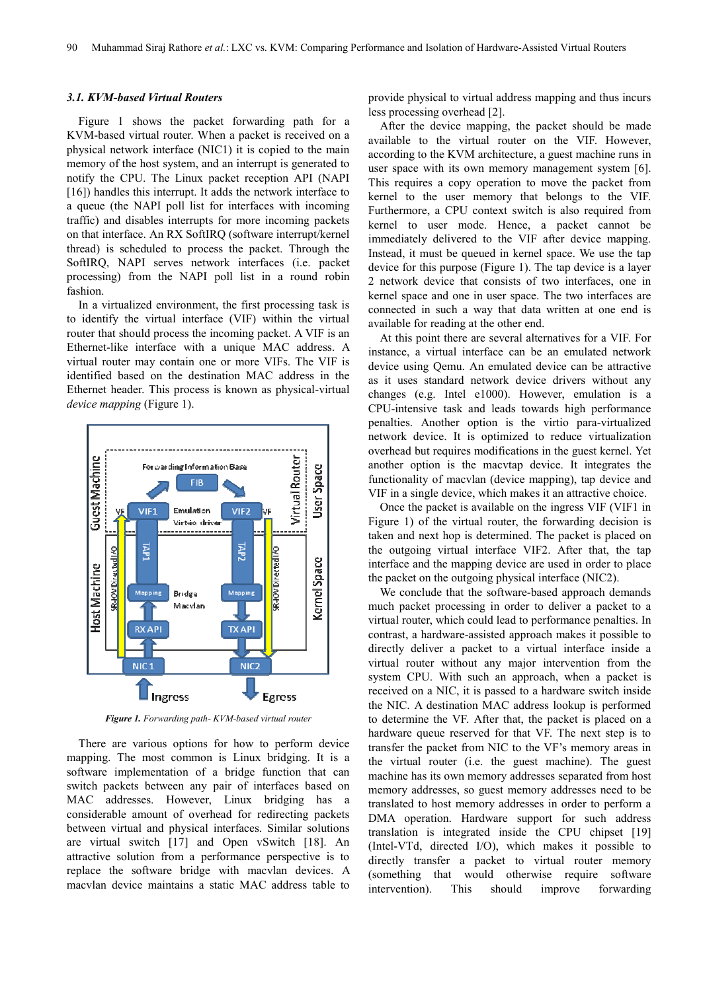#### *3.1. KVM-based Virtual Routers*

Figure 1 shows the packet forwarding path for a KVM-based virtual router. When a packet is received on a physical network interface (NIC1) it is copied to the main memory of the host system, and an interrupt is generated to notify the CPU. The Linux packet reception API (NAPI [16]) handles this interrupt. It adds the network interface to a queue (the NAPI poll list for interfaces with incoming traffic) and disables interrupts for more incoming packets on that interface. An RX SoftIRQ (software interrupt/kernel thread) is scheduled to process the packet. Through the SoftIRQ, NAPI serves network interfaces (i.e. packet processing) from the NAPI poll list in a round robin fashion.

In a virtualized environment, the first processing task is to identify the virtual interface (VIF) within the virtual router that should process the incoming packet. A VIF is an Ethernet-like interface with a unique MAC address. A virtual router may contain one or more VIFs. The VIF is identified based on the destination MAC address in the Ethernet header. This process is known as physical-virtual *device mapping* (Figure 1).



*Figure 1. Forwarding path- KVM-based virtual router* 

There are various options for how to perform device mapping. The most common is Linux bridging. It is a software implementation of a bridge function that can switch packets between any pair of interfaces based on MAC addresses. However, Linux bridging has a considerable amount of overhead for redirecting packets between virtual and physical interfaces. Similar solutions are virtual switch [17] and Open vSwitch [18]. An attractive solution from a performance perspective is to replace the software bridge with macvlan devices. A macvlan device maintains a static MAC address table to

provide physical to virtual address mapping and thus incurs less processing overhead [2].

After the device mapping, the packet should be made available to the virtual router on the VIF. However, according to the KVM architecture, a guest machine runs in user space with its own memory management system [6]. This requires a copy operation to move the packet from kernel to the user memory that belongs to the VIF. Furthermore, a CPU context switch is also required from kernel to user mode. Hence, a packet cannot be immediately delivered to the VIF after device mapping. Instead, it must be queued in kernel space. We use the tap device for this purpose (Figure 1). The tap device is a layer 2 network device that consists of two interfaces, one in kernel space and one in user space. The two interfaces are connected in such a way that data written at one end is available for reading at the other end.

At this point there are several alternatives for a VIF. For instance, a virtual interface can be an emulated network device using Qemu. An emulated device can be attractive as it uses standard network device drivers without any changes (e.g. Intel e1000). However, emulation is a CPU-intensive task and leads towards high performance penalties. Another option is the virtio para-virtualized network device. It is optimized to reduce virtualization overhead but requires modifications in the guest kernel. Yet another option is the macvtap device. It integrates the functionality of macvlan (device mapping), tap device and VIF in a single device, which makes it an attractive choice.

Once the packet is available on the ingress VIF (VIF1 in Figure 1) of the virtual router, the forwarding decision is taken and next hop is determined. The packet is placed on the outgoing virtual interface VIF2. After that, the tap interface and the mapping device are used in order to place the packet on the outgoing physical interface (NIC2).

We conclude that the software-based approach demands much packet processing in order to deliver a packet to a virtual router, which could lead to performance penalties. In contrast, a hardware-assisted approach makes it possible to directly deliver a packet to a virtual interface inside a virtual router without any major intervention from the system CPU. With such an approach, when a packet is received on a NIC, it is passed to a hardware switch inside the NIC. A destination MAC address lookup is performed to determine the VF. After that, the packet is placed on a hardware queue reserved for that VF. The next step is to transfer the packet from NIC to the VF's memory areas in the virtual router (i.e. the guest machine). The guest machine has its own memory addresses separated from host memory addresses, so guest memory addresses need to be translated to host memory addresses in order to perform a DMA operation. Hardware support for such address translation is integrated inside the CPU chipset [19] (Intel-VTd, directed I/O), which makes it possible to directly transfer a packet to virtual router memory (something that would otherwise require software intervention). This should improve forwarding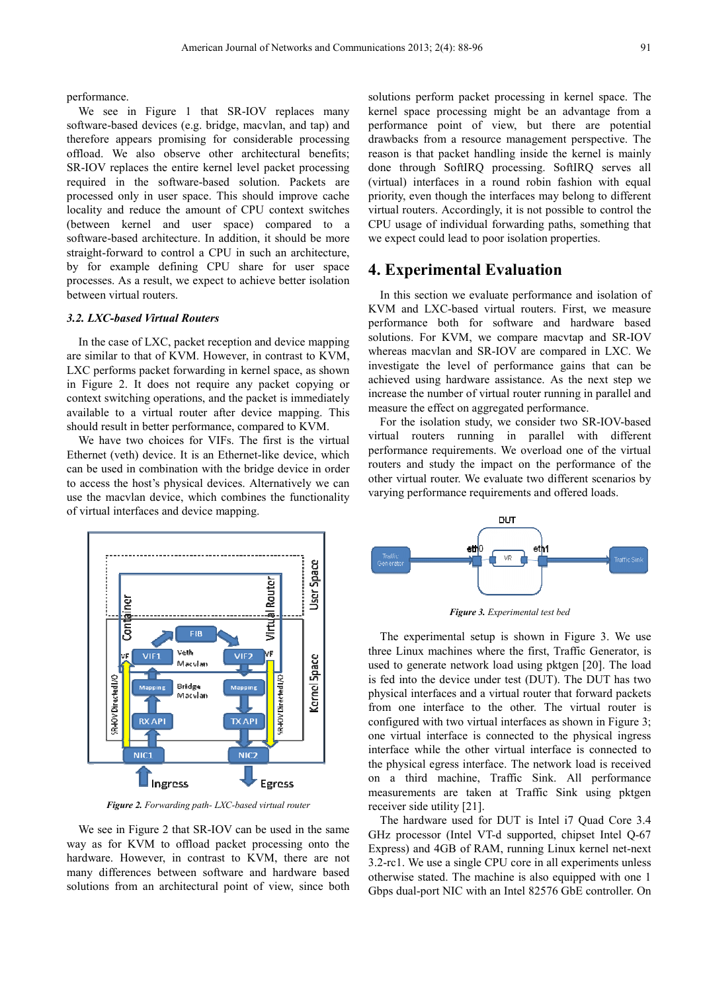performance.

We see in Figure 1 that SR-IOV replaces many software-based devices (e.g. bridge, macvlan, and tap) and therefore appears promising for considerable processing offload. We also observe other architectural benefits; SR-IOV replaces the entire kernel level packet processing required in the software-based solution. Packets are processed only in user space. This should improve cache locality and reduce the amount of CPU context switches (between kernel and user space) compared to a software-based architecture. In addition, it should be more straight-forward to control a CPU in such an architecture, by for example defining CPU share for user space processes. As a result, we expect to achieve better isolation between virtual routers.

#### *3.2. LXC-based Virtual Routers*

In the case of LXC, packet reception and device mapping are similar to that of KVM. However, in contrast to KVM, LXC performs packet forwarding in kernel space, as shown in Figure 2. It does not require any packet copying or context switching operations, and the packet is immediately available to a virtual router after device mapping. This should result in better performance, compared to KVM.

We have two choices for VIFs. The first is the virtual Ethernet (veth) device. It is an Ethernet-like device, which can be used in combination with the bridge device in order to access the host's physical devices. Alternatively we can use the macvlan device, which combines the functionality of virtual interfaces and device mapping.



*Figure 2. Forwarding path- LXC-based virtual router* 

We see in Figure 2 that SR-IOV can be used in the same way as for KVM to offload packet processing onto the hardware. However, in contrast to KVM, there are not many differences between software and hardware based solutions from an architectural point of view, since both

solutions perform packet processing in kernel space. The kernel space processing might be an advantage from a performance point of view, but there are potential drawbacks from a resource management perspective. The reason is that packet handling inside the kernel is mainly done through SoftIRQ processing. SoftIRQ serves all (virtual) interfaces in a round robin fashion with equal priority, even though the interfaces may belong to different virtual routers. Accordingly, it is not possible to control the CPU usage of individual forwarding paths, something that we expect could lead to poor isolation properties.

### **4. Experimental Evaluation**

In this section we evaluate performance and isolation of KVM and LXC-based virtual routers. First, we measure performance both for software and hardware based solutions. For KVM, we compare macvtap and SR-IOV whereas macvlan and SR-IOV are compared in LXC. We investigate the level of performance gains that can be achieved using hardware assistance. As the next step we increase the number of virtual router running in parallel and measure the effect on aggregated performance.

For the isolation study, we consider two SR-IOV-based virtual routers running in parallel with different performance requirements. We overload one of the virtual routers and study the impact on the performance of the other virtual router. We evaluate two different scenarios by varying performance requirements and offered loads.



*Figure 3. Experimental test bed* 

The experimental setup is shown in Figure 3. We use three Linux machines where the first, Traffic Generator, is used to generate network load using pktgen [20]. The load is fed into the device under test (DUT). The DUT has two physical interfaces and a virtual router that forward packets from one interface to the other. The virtual router is configured with two virtual interfaces as shown in Figure 3; one virtual interface is connected to the physical ingress interface while the other virtual interface is connected to the physical egress interface. The network load is received on a third machine, Traffic Sink. All performance measurements are taken at Traffic Sink using pktgen receiver side utility [21].

The hardware used for DUT is Intel i7 Quad Core 3.4 GHz processor (Intel VT-d supported, chipset Intel Q-67 Express) and 4GB of RAM, running Linux kernel net-next 3.2-rc1. We use a single CPU core in all experiments unless otherwise stated. The machine is also equipped with one 1 Gbps dual-port NIC with an Intel 82576 GbE controller. On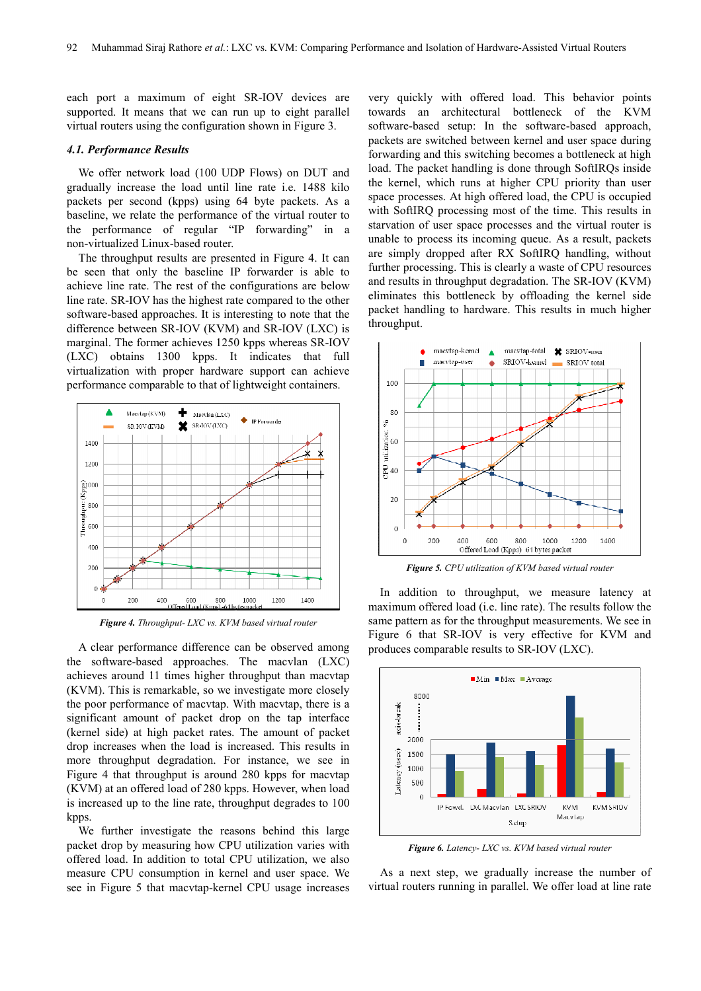each port a maximum of eight SR-IOV devices are supported. It means that we can run up to eight parallel virtual routers using the configuration shown in Figure 3.

#### *4.1. Performance Results*

We offer network load (100 UDP Flows) on DUT and gradually increase the load until line rate i.e. 1488 kilo packets per second (kpps) using 64 byte packets. As a baseline, we relate the performance of the virtual router to the performance of regular "IP forwarding" in a non-virtualized Linux-based router.

The throughput results are presented in Figure 4. It can be seen that only the baseline IP forwarder is able to achieve line rate. The rest of the configurations are below line rate. SR-IOV has the highest rate compared to the other software-based approaches. It is interesting to note that the difference between SR-IOV (KVM) and SR-IOV (LXC) is marginal. The former achieves 1250 kpps whereas SR-IOV (LXC) obtains 1300 kpps. It indicates that full virtualization with proper hardware support can achieve performance comparable to that of lightweight containers.



*Figure 4. Throughput- LXC vs. KVM based virtual router* 

A clear performance difference can be observed among the software-based approaches. The macvlan (LXC) achieves around 11 times higher throughput than macvtap (KVM). This is remarkable, so we investigate more closely the poor performance of macvtap. With macvtap, there is a significant amount of packet drop on the tap interface (kernel side) at high packet rates. The amount of packet drop increases when the load is increased. This results in more throughput degradation. For instance, we see in Figure 4 that throughput is around 280 kpps for macvtap (KVM) at an offered load of 280 kpps. However, when load is increased up to the line rate, throughput degrades to 100 kpps.

We further investigate the reasons behind this large packet drop by measuring how CPU utilization varies with offered load. In addition to total CPU utilization, we also measure CPU consumption in kernel and user space. We see in Figure 5 that macvtap-kernel CPU usage increases

very quickly with offered load. This behavior points towards an architectural bottleneck of the KVM software-based setup: In the software-based approach, packets are switched between kernel and user space during forwarding and this switching becomes a bottleneck at high load. The packet handling is done through SoftIRQs inside the kernel, which runs at higher CPU priority than user space processes. At high offered load, the CPU is occupied with SoftIRQ processing most of the time. This results in starvation of user space processes and the virtual router is unable to process its incoming queue. As a result, packets are simply dropped after RX SoftIRQ handling, without further processing. This is clearly a waste of CPU resources and results in throughput degradation. The SR-IOV (KVM) eliminates this bottleneck by offloading the kernel side packet handling to hardware. This results in much higher throughput.



*Figure 5. CPU utilization of KVM based virtual router* 

In addition to throughput, we measure latency at maximum offered load (i.e. line rate). The results follow the same pattern as for the throughput measurements. We see in Figure 6 that SR-IOV is very effective for KVM and produces comparable results to SR-IOV (LXC).



*Figure 6. Latency- LXC vs. KVM based virtual router* 

As a next step, we gradually increase the number of virtual routers running in parallel. We offer load at line rate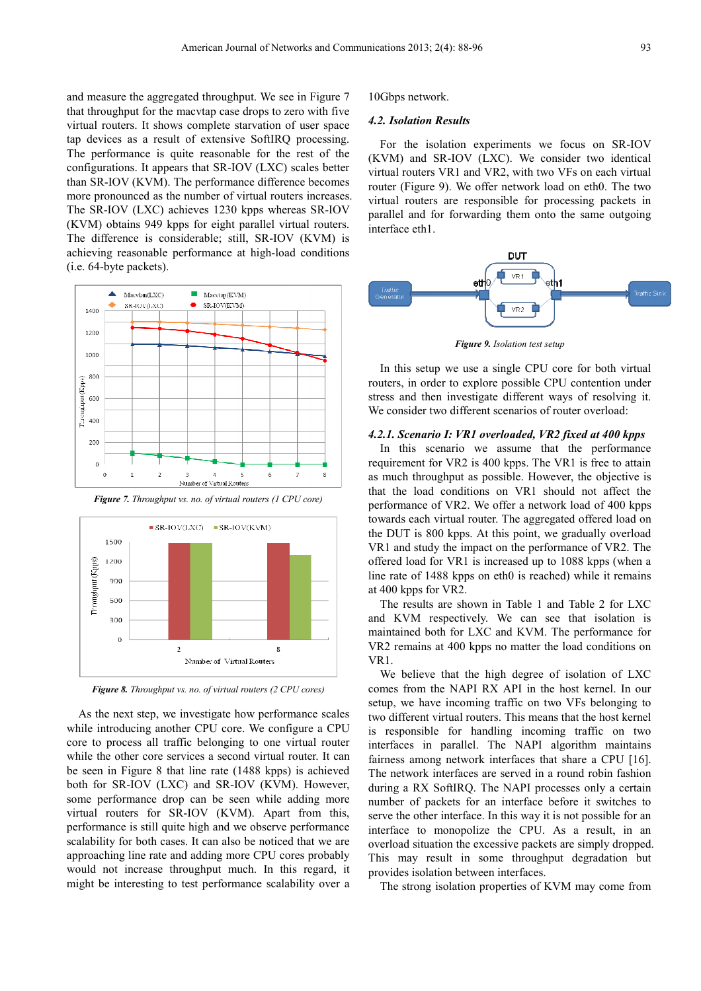and measure the aggregated throughput. We see in Figure 7 that throughput for the macvtap case drops to zero with five virtual routers. It shows complete starvation of user space tap devices as a result of extensive SoftIRQ processing. The performance is quite reasonable for the rest of the configurations. It appears that SR-IOV (LXC) scales better than SR-IOV (KVM). The performance difference becomes more pronounced as the number of virtual routers increases. The SR-IOV (LXC) achieves 1230 kpps whereas SR-IOV (KVM) obtains 949 kpps for eight parallel virtual routers. The difference is considerable; still, SR-IOV (KVM) is achieving reasonable performance at high-load conditions (i.e. 64-byte packets).



*Figure 7. Throughput vs. no. of virtual routers (1 CPU core)*



*Figure 8. Throughput vs. no. of virtual routers (2 CPU cores)*

As the next step, we investigate how performance scales while introducing another CPU core. We configure a CPU core to process all traffic belonging to one virtual router while the other core services a second virtual router. It can be seen in Figure 8 that line rate (1488 kpps) is achieved both for SR-IOV (LXC) and SR-IOV (KVM). However, some performance drop can be seen while adding more virtual routers for SR-IOV (KVM). Apart from this, performance is still quite high and we observe performance scalability for both cases. It can also be noticed that we are approaching line rate and adding more CPU cores probably would not increase throughput much. In this regard, it might be interesting to test performance scalability over a 10Gbps network.

#### *4.2. Isolation Results*

For the isolation experiments we focus on SR-IOV (KVM) and SR-IOV (LXC). We consider two identical virtual routers VR1 and VR2, with two VFs on each virtual router (Figure 9). We offer network load on eth0. The two virtual routers are responsible for processing packets in parallel and for forwarding them onto the same outgoing interface eth1.



*Figure 9. Isolation test setup* 

In this setup we use a single CPU core for both virtual routers, in order to explore possible CPU contention under stress and then investigate different ways of resolving it. We consider two different scenarios of router overload:

#### *4.2.1. Scenario I: VR1 overloaded, VR2 fixed at 400 kpps*

In this scenario we assume that the performance requirement for VR2 is 400 kpps. The VR1 is free to attain as much throughput as possible. However, the objective is that the load conditions on VR1 should not affect the performance of VR2. We offer a network load of 400 kpps towards each virtual router. The aggregated offered load on the DUT is 800 kpps. At this point, we gradually overload VR1 and study the impact on the performance of VR2. The offered load for VR1 is increased up to 1088 kpps (when a line rate of 1488 kpps on eth0 is reached) while it remains at 400 kpps for VR2.

The results are shown in Table 1 and Table 2 for LXC and KVM respectively. We can see that isolation is maintained both for LXC and KVM. The performance for VR2 remains at 400 kpps no matter the load conditions on VR1.

We believe that the high degree of isolation of LXC comes from the NAPI RX API in the host kernel. In our setup, we have incoming traffic on two VFs belonging to two different virtual routers. This means that the host kernel is responsible for handling incoming traffic on two interfaces in parallel. The NAPI algorithm maintains fairness among network interfaces that share a CPU [16]. The network interfaces are served in a round robin fashion during a RX SoftIRQ. The NAPI processes only a certain number of packets for an interface before it switches to serve the other interface. In this way it is not possible for an interface to monopolize the CPU. As a result, in an overload situation the excessive packets are simply dropped. This may result in some throughput degradation but provides isolation between interfaces.

The strong isolation properties of KVM may come from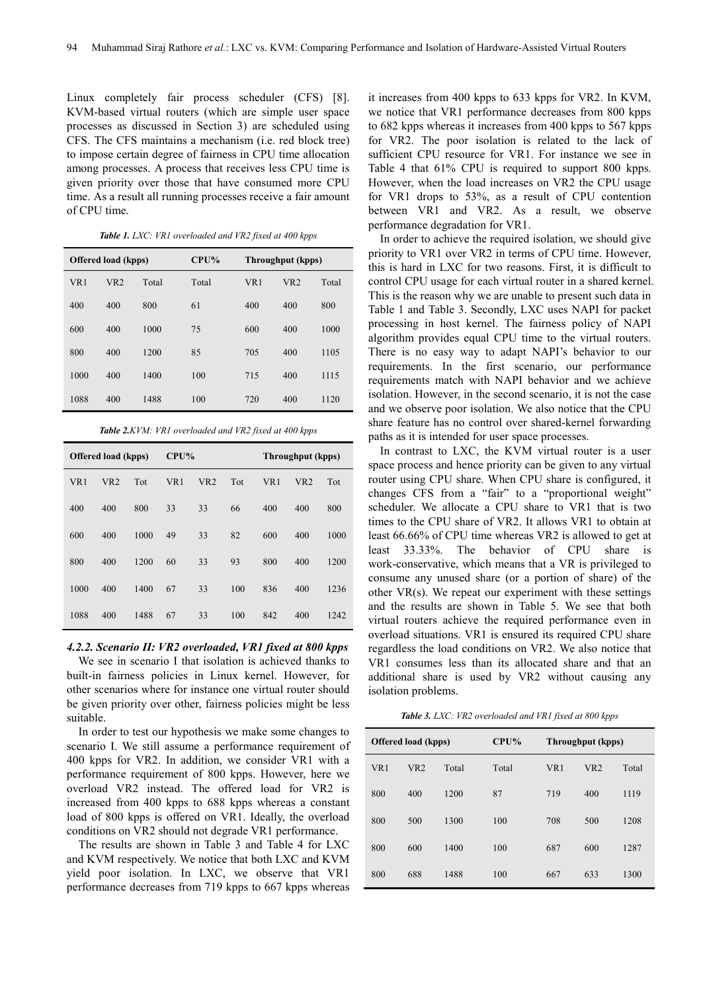Linux completely fair process scheduler (CFS) [8]. KVM-based virtual routers (which are simple user space processes as discussed in Section 3) are scheduled using CFS. The CFS maintains a mechanism (i.e. red block tree) to impose certain degree of fairness in CPU time allocation among processes. A process that receives less CPU time is given priority over those that have consumed more CPU time. As a result all running processes receive a fair amount of CPU time.

|      | <b>Offered load (kpps)</b> |       | $CPU\%$ |     | Throughput (kpps) |       |  |  |  |
|------|----------------------------|-------|---------|-----|-------------------|-------|--|--|--|
| VR1  | VR <sub>2</sub>            | Total | Total   | VR1 | VR <sub>2</sub>   | Total |  |  |  |
| 400  | 400                        | 800   | 61      | 400 | 400               | 800   |  |  |  |
| 600  | 400                        | 1000  | 75      | 600 | 400               | 1000  |  |  |  |
| 800  | 400                        | 1200  | 85      | 705 | 400               | 1105  |  |  |  |
| 1000 | 400                        | 1400  | 100     | 715 | 400               | 1115  |  |  |  |
| 1088 | 400                        | 1488  | 100     | 720 | 400               | 1120  |  |  |  |

*Table 1. LXC: VR1 overloaded and VR2 fixed at 400 kpps* 

| <b>Table 2.</b> KVM: VR1 overloaded and VR2 fixed at 400 kpps |  |  |  |  |
|---------------------------------------------------------------|--|--|--|--|
|---------------------------------------------------------------|--|--|--|--|

| <b>Offered load (kpps)</b> |                 | $CPU\%$ |     |                 | Throughput (kpps) |     |                 |      |
|----------------------------|-----------------|---------|-----|-----------------|-------------------|-----|-----------------|------|
| VR1                        | VR <sub>2</sub> | Tot     | VR1 | VR <sub>2</sub> | Tot               | VR1 | VR <sub>2</sub> | Tot  |
| 400                        | 400             | 800     | 33  | 33              | 66                | 400 | 400             | 800  |
| 600                        | 400             | 1000    | 49  | 33              | 82                | 600 | 400             | 1000 |
| 800                        | 400             | 1200    | 60  | 33              | 93                | 800 | 400             | 1200 |
| 1000                       | 400             | 1400    | 67  | 33              | 100               | 836 | 400             | 1236 |
| 1088                       | 400             | 1488    | 67  | 33              | 100               | 842 | 400             | 1242 |

*4.2.2. Scenario II: VR2 overloaded, VR1 fixed at 800 kpps*  We see in scenario I that isolation is achieved thanks to built-in fairness policies in Linux kernel. However, for other scenarios where for instance one virtual router should be given priority over other, fairness policies might be less suitable.

In order to test our hypothesis we make some changes to scenario I. We still assume a performance requirement of 400 kpps for VR2. In addition, we consider VR1 with a performance requirement of 800 kpps. However, here we overload VR2 instead. The offered load for VR2 is increased from 400 kpps to 688 kpps whereas a constant load of 800 kpps is offered on VR1. Ideally, the overload conditions on VR2 should not degrade VR1 performance.

The results are shown in Table 3 and Table 4 for LXC and KVM respectively. We notice that both LXC and KVM yield poor isolation. In LXC, we observe that VR1 performance decreases from 719 kpps to 667 kpps whereas

it increases from 400 kpps to 633 kpps for VR2. In KVM, we notice that VR1 performance decreases from 800 kpps to 682 kpps whereas it increases from 400 kpps to 567 kpps for VR2. The poor isolation is related to the lack of sufficient CPU resource for VR1. For instance we see in Table 4 that 61% CPU is required to support 800 kpps. However, when the load increases on VR2 the CPU usage for VR1 drops to 53%, as a result of CPU contention between VR1 and VR2. As a result, we observe performance degradation for VR1.

In order to achieve the required isolation, we should give priority to VR1 over VR2 in terms of CPU time. However, this is hard in LXC for two reasons. First, it is difficult to control CPU usage for each virtual router in a shared kernel. This is the reason why we are unable to present such data in Table 1 and Table 3. Secondly, LXC uses NAPI for packet processing in host kernel. The fairness policy of NAPI algorithm provides equal CPU time to the virtual routers. There is no easy way to adapt NAPI's behavior to our requirements. In the first scenario, our performance requirements match with NAPI behavior and we achieve isolation. However, in the second scenario, it is not the case and we observe poor isolation. We also notice that the CPU share feature has no control over shared-kernel forwarding paths as it is intended for user space processes.

In contrast to LXC, the KVM virtual router is a user space process and hence priority can be given to any virtual router using CPU share. When CPU share is configured, it changes CFS from a "fair" to a "proportional weight" scheduler. We allocate a CPU share to VR1 that is two times to the CPU share of VR2. It allows VR1 to obtain at least 66.66% of CPU time whereas VR2 is allowed to get at least 33.33%. The behavior of CPU share is work-conservative, which means that a VR is privileged to consume any unused share (or a portion of share) of the other VR(s). We repeat our experiment with these settings and the results are shown in Table 5. We see that both virtual routers achieve the required performance even in overload situations. VR1 is ensured its required CPU share regardless the load conditions on VR2. We also notice that VR1 consumes less than its allocated share and that an additional share is used by VR2 without causing any isolation problems.

*Table 3. LXC: VR2 overloaded and VR1 fixed at 800 kpps* 

| <b>Offered load (kpps)</b> |                 |       | $CPU\%$ |     | Throughput (kpps) |       |  |  |  |
|----------------------------|-----------------|-------|---------|-----|-------------------|-------|--|--|--|
| VR1                        | VR <sub>2</sub> | Total | Total   | VR1 | VR <sub>2</sub>   | Total |  |  |  |
| 800                        | 400             | 1200  | 87      | 719 | 400               | 1119  |  |  |  |
| 800                        | 500             | 1300  | 100     | 708 | 500               | 1208  |  |  |  |
| 800                        | 600             | 1400  | 100     | 687 | 600               | 1287  |  |  |  |
| 800                        | 688             | 1488  | 100     | 667 | 633               | 1300  |  |  |  |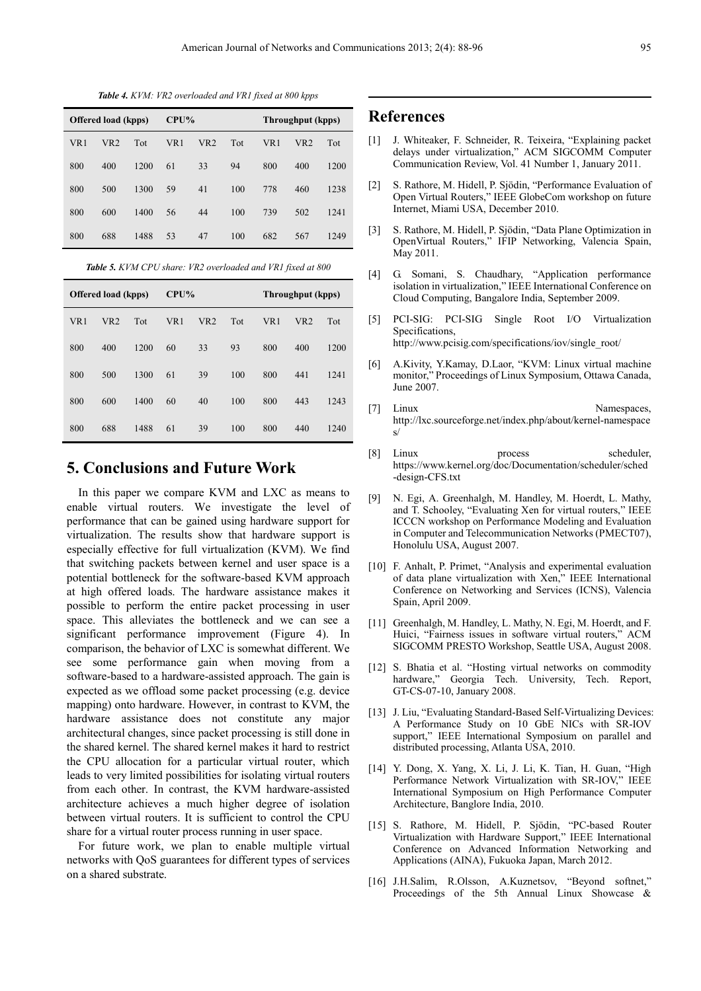*Table 4. KVM: VR2 overloaded and VR1 fixed at 800 kpps* 

| <b>Offered load (kpps)</b> |                 | $CPU\%$ |     |     | Throughput (kpps) |     |                 |      |
|----------------------------|-----------------|---------|-----|-----|-------------------|-----|-----------------|------|
| VR1                        | VR <sub>2</sub> | Tot     | VR1 | VR2 | Tot               | VR1 | VR <sub>2</sub> | Tot  |
| 800                        | 400             | 1200    | 61  | 33  | 94                | 800 | 400             | 1200 |
| 800                        | 500             | 1300    | 59  | 41  | 100               | 778 | 460             | 1238 |
| 800                        | 600             | 1400    | 56  | 44  | 100               | 739 | 502             | 1241 |
| 800                        | 688             | 1488    | 53  | 47  | 100               | 682 | 567             | 1249 |

*Table 5. KVM CPU share: VR2 overloaded and VR1 fixed at 800* 

| <b>Offered load (kpps)</b> |                 | $CPU\%$ |     |                 | Throughput (kpps) |     |                 |      |
|----------------------------|-----------------|---------|-----|-----------------|-------------------|-----|-----------------|------|
| VR1                        | VR <sub>2</sub> | Tot     | VR1 | VR <sub>2</sub> | Tot               | VR1 | VR <sub>2</sub> | Tot  |
| 800                        | 400             | 1200    | 60  | 33              | 93                | 800 | 400             | 1200 |
| 800                        | 500             | 1300    | 61  | 39              | 100               | 800 | 441             | 1241 |
| 800                        | 600             | 1400    | 60  | 40              | 100               | 800 | 443             | 1243 |
| 800                        | 688             | 1488    | 61  | 39              | 100               | 800 | 440             | 1240 |

## **5. Conclusions and Future Work**

In this paper we compare KVM and LXC as means to enable virtual routers. We investigate the level of performance that can be gained using hardware support for virtualization. The results show that hardware support is especially effective for full virtualization (KVM). We find that switching packets between kernel and user space is a potential bottleneck for the software-based KVM approach at high offered loads. The hardware assistance makes it possible to perform the entire packet processing in user space. This alleviates the bottleneck and we can see a significant performance improvement (Figure 4). In comparison, the behavior of LXC is somewhat different. We see some performance gain when moving from a software-based to a hardware-assisted approach. The gain is expected as we offload some packet processing (e.g. device mapping) onto hardware. However, in contrast to KVM, the hardware assistance does not constitute any major architectural changes, since packet processing is still done in the shared kernel. The shared kernel makes it hard to restrict the CPU allocation for a particular virtual router, which leads to very limited possibilities for isolating virtual routers from each other. In contrast, the KVM hardware-assisted architecture achieves a much higher degree of isolation between virtual routers. It is sufficient to control the CPU share for a virtual router process running in user space.

For future work, we plan to enable multiple virtual networks with QoS guarantees for different types of services on a shared substrate.

# **References**

- [1] J. Whiteaker, F. Schneider, R. Teixeira, "Explaining packet delays under virtualization," ACM SIGCOMM Computer Communication Review, Vol. 41 Number 1, January 2011.
- [2] S. Rathore, M. Hidell, P. Sjödin, "Performance Evaluation of Open Virtual Routers," IEEE GlobeCom workshop on future Internet, Miami USA, December 2010.
- [3] S. Rathore, M. Hidell, P. Sjödin, "Data Plane Optimization in OpenVirtual Routers," IFIP Networking, Valencia Spain, May 2011.
- [4] G. Somani, S. Chaudhary, "Application performance isolation in virtualization," IEEE International Conference on Cloud Computing, Bangalore India, September 2009.
- [5] PCI-SIG: PCI-SIG Single Root I/O Virtualization Specifications. http://www.pcisig.com/specifications/iov/single\_root/
- [6] A.Kivity, Y.Kamay, D.Laor, "KVM: Linux virtual machine monitor," Proceedings of Linux Symposium, Ottawa Canada, June 2007.
- [7] Linux Namespaces, http://lxc.sourceforge.net/index.php/about/kernel-namespace s/
- [8] Linux process scheduler, https://www.kernel.org/doc/Documentation/scheduler/sched -design-CFS.txt
- [9] N. Egi, A. Greenhalgh, M. Handley, M. Hoerdt, L. Mathy, and T. Schooley, "Evaluating Xen for virtual routers," IEEE ICCCN workshop on Performance Modeling and Evaluation in Computer and Telecommunication Networks (PMECT07), Honolulu USA, August 2007.
- [10] F. Anhalt, P. Primet, "Analysis and experimental evaluation of data plane virtualization with Xen," IEEE International Conference on Networking and Services (ICNS), Valencia Spain, April 2009.
- [11] Greenhalgh, M. Handley, L. Mathy, N. Egi, M. Hoerdt, and F. Huici, "Fairness issues in software virtual routers," ACM SIGCOMM PRESTO Workshop, Seattle USA, August 2008.
- [12] S. Bhatia et al. "Hosting virtual networks on commodity hardware," Georgia Tech. University, Tech. Report, GT-CS-07-10, January 2008.
- [13] J. Liu, "Evaluating Standard-Based Self-Virtualizing Devices: A Performance Study on 10 GbE NICs with SR-IOV support," IEEE International Symposium on parallel and distributed processing, Atlanta USA, 2010.
- [14] Y. Dong, X. Yang, X. Li, J. Li, K. Tian, H. Guan, "High Performance Network Virtualization with SR-IOV," IEEE International Symposium on High Performance Computer Architecture, Banglore India, 2010.
- [15] S. Rathore, M. Hidell, P. Sjödin, "PC-based Router Virtualization with Hardware Support," IEEE International Conference on Advanced Information Networking and Applications (AINA), Fukuoka Japan, March 2012.
- [16] J.H.Salim, R.Olsson, A.Kuznetsov, "Beyond softnet," Proceedings of the 5th Annual Linux Showcase &